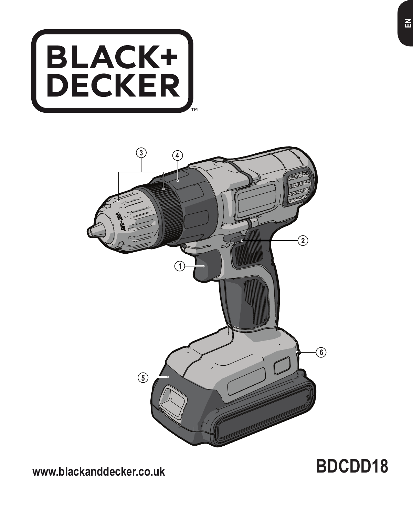



**www.blackanddecker.co.uk BDCDD18**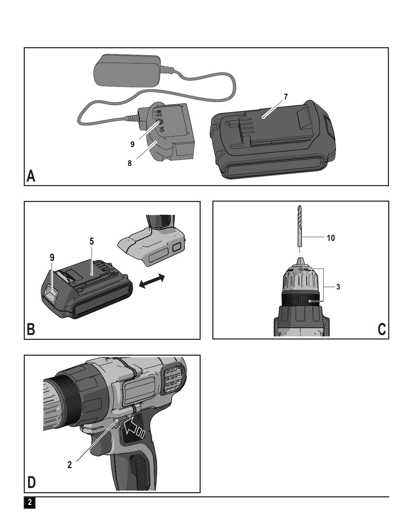





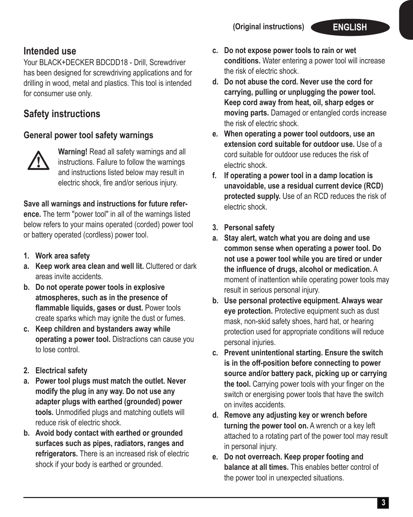**(Original instructions) ENGLISH**

# **Intended use**

Your BLACK+DECKER BDCDD18 - Drill, Screwdriver has been designed for screwdriving applications and for drilling in wood, metal and plastics. This tool is intended for consumer use only.

# **Safety instructions**

### **General power tool safety warnings**



**Marning!** Read all safety warnings and all<br>
instructions. Failure to follow the warnings<br>
and instructions listed below may result in and instructions listed below may result in electric shock, fire and/or serious injury.

**Save all warnings and instructions for future refer-**

**ence.** The term "power tool" in all of the warnings listed below refers to your mains operated (corded) power tool or battery operated (cordless) power tool.

- **1. Work area safety**
- **a. Keep work area clean and well lit.** Cluttered or dark areas invite accidents.
- **b. Do not operate power tools in explosive atmospheres, such as in the presence of flammable liquids, gases or dust.** Power tools create sparks which may ignite the dust or fumes.
- **c. Keep children and bystanders away while operating a power tool.** Distractions can cause you to lose control.
- **2. Electrical safety**
- **a. Power tool plugs must match the outlet. Never modify the plug in any way. Do not use any adapter plugs with earthed (grounded) power tools.** Unmodified plugs and matching outlets will reduce risk of electric shock.
- **b. Avoid body contact with earthed or grounded surfaces such as pipes, radiators, ranges and refrigerators.** There is an increased risk of electric shock if your body is earthed or grounded.
- **c. Do not expose power tools to rain or wet conditions.** Water entering a power tool will increase the risk of electric shock.
- **d. Do not abuse the cord. Never use the cord for carrying, pulling or unplugging the power tool. Keep cord away from heat, oil, sharp edges or moving parts.** Damaged or entangled cords increase the risk of electric shock.
- **e. When operating a power tool outdoors, use an extension cord suitable for outdoor use.** Use of a cord suitable for outdoor use reduces the risk of electric shock.
- **f. If operating a power tool in a damp location is unavoidable, use a residual current device (RCD) protected supply.** Use of an RCD reduces the risk of electric shock.
- **3. Personal safety**
- **a. Stay alert, watch what you are doing and use common sense when operating a power tool. Do not use a power tool while you are tired or under the influence of drugs, alcohol or medication.** A moment of inattention while operating power tools may result in serious personal injury.
- **b. Use personal protective equipment. Always wear eye protection.** Protective equipment such as dust mask, non-skid safety shoes, hard hat, or hearing protection used for appropriate conditions will reduce personal injuries.
- **c. Prevent unintentional starting. Ensure the switch is in the off-position before connecting to power source and/or battery pack, picking up or carrying the tool.** Carrying power tools with your finger on the switch or energising power tools that have the switch on invites accidents.
- **d. Remove any adjusting key or wrench before turning the power tool on.** A wrench or a key left attached to a rotating part of the power tool may result in personal injury.
- **e. Do not overreach. Keep proper footing and balance at all times.** This enables better control of the power tool in unexpected situations.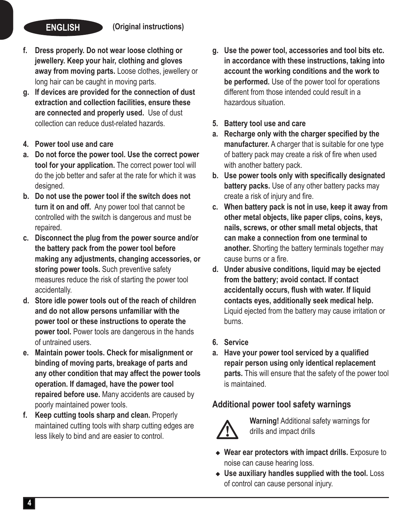- **f. Dress properly. Do not wear loose clothing or jewellery. Keep your hair, clothing and gloves away from moving parts.** Loose clothes, jewellery or long hair can be caught in moving parts.
- **g. If devices are provided for the connection of dust extraction and collection facilities, ensure these are connected and properly used.** Use of dust collection can reduce dust-related hazards.
- **4. Power tool use and care**
- **a. Do not force the power tool. Use the correct power tool for your application.** The correct power tool will do the job better and safer at the rate for which it was designed.
- **b. Do not use the power tool if the switch does not turn it on and off.** Any power tool that cannot be controlled with the switch is dangerous and must be repaired.
- **c. Disconnect the plug from the power source and/or the battery pack from the power tool before making any adjustments, changing accessories, or storing power tools.** Such preventive safety measures reduce the risk of starting the power tool accidentally.
- **d. Store idle power tools out of the reach of children and do not allow persons unfamiliar with the power tool or these instructions to operate the power tool.** Power tools are dangerous in the hands of untrained users.
- **e. Maintain power tools. Check for misalignment or binding of moving parts, breakage of parts and any other condition that may affect the power tools operation. If damaged, have the power tool repaired before use.** Many accidents are caused by poorly maintained power tools.
- **f. Keep cutting tools sharp and clean.** Properly maintained cutting tools with sharp cutting edges are less likely to bind and are easier to control.
- **g. Use the power tool, accessories and tool bits etc. in accordance with these instructions, taking into account the working conditions and the work to be performed.** Use of the power tool for operations different from those intended could result in a hazardous situation.
- **5. Battery tool use and care**
- **a. Recharge only with the charger specified by the manufacturer.** A charger that is suitable for one type of battery pack may create a risk of fire when used with another battery pack.
- **b. Use power tools only with specifically designated battery packs.** Use of any other battery packs may create a risk of injury and fire.
- **c. When battery pack is not in use, keep it away from other metal objects, like paper clips, coins, keys, nails, screws, or other small metal objects, that can make a connection from one terminal to another.** Shorting the battery terminals together may cause burns or a fire.
- **d. Under abusive conditions, liquid may be ejected from the battery; avoid contact. If contact accidentally occurs, flush with water. If liquid contacts eyes, additionally seek medical help.** Liquid ejected from the battery may cause irritation or burns.
- **6. Service**
- **a. Have your power tool serviced by a qualified repair person using only identical replacement parts.** This will ensure that the safety of the power tool is maintained.

# **Additional power tool safety warnings**



**Warning!** Additional safety warnings for drills and impact drills

- <sup>u</sup> **Wear ear protectors with impact drills.** Exposure to noise can cause hearing loss.
- $\triangleleft$  Use auxiliary handles supplied with the tool. Loss of control can cause personal injury.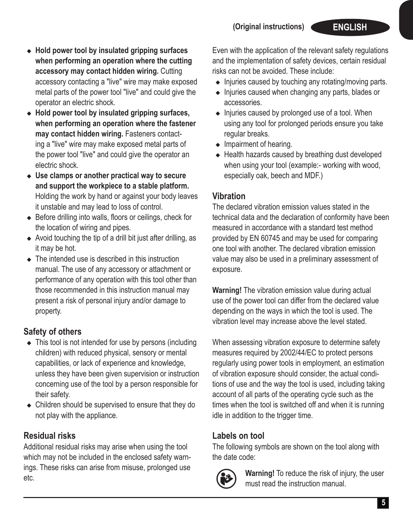#### **(Original instructions) ENGLISH**

- ◆ Hold power tool by insulated gripping surfaces **when performing an operation where the cutting accessory may contact hidden wiring.** Cutting accessory contacting a "live" wire may make exposed metal parts of the power tool "live" and could give the operator an electric shock.
- ◆ Hold power tool by insulated gripping surfaces, **when performing an operation where the fastener may contact hidden wiring.** Fasteners contacting a "live" wire may make exposed metal parts of the power tool "live" and could give the operator an electric shock.
- ◆ Use clamps or another practical way to secure **and support the workpiece to a stable platform.** Holding the work by hand or against your body leaves it unstable and may lead to loss of control.
- $\triangle$  Before drilling into walls, floors or ceilings, check for the location of wiring and pipes.
- $\leftrightarrow$  Avoid touching the tip of a drill bit just after drilling, as it may be hot.
- $\triangle$  The intended use is described in this instruction manual. The use of any accessory or attachment or performance of any operation with this tool other than those recommended in this instruction manual may present a risk of personal injury and/or damage to property.

#### **Safety of others**

- $\triangle$  This tool is not intended for use by persons (including children) with reduced physical, sensory or mental capabilities, or lack of experience and knowledge, unless they have been given supervision or instruction concerning use of the tool by a person responsible for their safety.
- $\triangle$  Children should be supervised to ensure that they do not play with the appliance.

# **Residual risks**

Additional residual risks may arise when using the tool which may not be included in the enclosed safety warnings. These risks can arise from misuse, prolonged use etc.

Even with the application of the relevant safety regulations and the implementation of safety devices, certain residual risks can not be avoided. These include:

- $\bullet$  Injuries caused by touching any rotating/moving parts.
- $\bullet$  Injuries caused when changing any parts, blades or accessories.
- $\bullet$  Injuries caused by prolonged use of a tool. When using any tool for prolonged periods ensure you take regular breaks.
- $\bullet$  Impairment of hearing.
- $\triangle$  Health hazards caused by breathing dust developed when using your tool (example:- working with wood, especially oak, beech and MDF.)

#### **Vibration**

The declared vibration emission values stated in the technical data and the declaration of conformity have been measured in accordance with a standard test method provided by EN 60745 and may be used for comparing one tool with another. The declared vibration emission value may also be used in a preliminary assessment of exposure.

**Warning!** The vibration emission value during actual use of the power tool can differ from the declared value depending on the ways in which the tool is used. The vibration level may increase above the level stated.

When assessing vibration exposure to determine safety measures required by 2002/44/EC to protect persons regularly using power tools in employment, an estimation of vibration exposure should consider, the actual conditions of use and the way the tool is used, including taking account of all parts of the operating cycle such as the times when the tool is switched off and when it is running idle in addition to the trigger time.

# **Labels on tool**

The following symbols are shown on the tool along with the date code:



: **Warning!** To reduce the risk of injury, the user must read the instruction manual.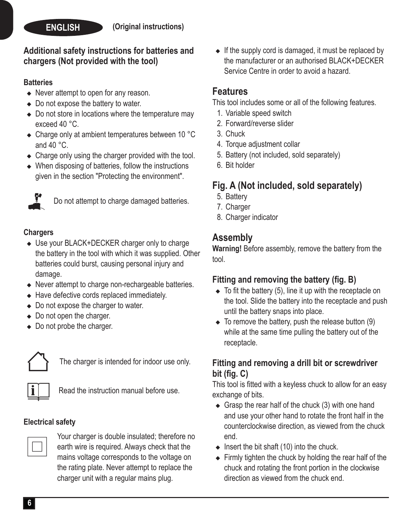#### **Additional safety instructions for batteries and chargers (Not provided with the tool)**

#### **Batteries**

- $\triangleleft$  Never attempt to open for any reason.
- $\bullet$  Do not expose the battery to water.
- $\bullet$  Do not store in locations where the temperature may exceed 40 °C.
- $\triangle$  Charge only at ambient temperatures between 10 °C and  $40 °C$ .
- $\triangle$  Charge only using the charger provided with the tool.
- $\triangleleft$  When disposing of batteries, follow the instructions given in the section "Protecting the environment".



Do not attempt to charge damaged batteries.

#### **Chargers**

- ◆ Use your BLACK+DECKER charger only to charge the battery in the tool with which it was supplied. Other batteries could burst, causing personal injury and damage.
- $\triangleq$  Never attempt to charge non-rechargeable batteries.
- $\triangle$  Have defective cords replaced immediately.
- $\bullet$  Do not expose the charger to water.
- $\bullet$  Do not open the charger.
- $\bullet$  Do not probe the charger.



The charger is intended for indoor use only.



Read the instruction manual before use.

#### **Electrical safety**



Your charger is double insulated; therefore no<br>earth wire is required. Always check that the<br>mains voltage corresponds to the voltage on earth wire is required. Always check that the mains voltage corresponds to the voltage on the rating plate. Never attempt to replace the charger unit with a regular mains plug.

 $\bullet$  If the supply cord is damaged, it must be replaced by the manufacturer or an authorised BLACK+DECKER Service Centre in order to avoid a hazard.

# **Features**

This tool includes some or all of the following features.

- 1. Variable speed switch
- 2. Forward/reverse slider
- 3. Chuck
- 4. Torque adjustment collar
- 5. Battery (not included, sold separately)
- 6. Bit holder

# **Fig. A (Not included, sold separately)**

- 5. Battery
- 7. Charger
- 8. Charger indicator

# **Assembly**

**Warning!** Before assembly, remove the battery from the tool.

# **Fitting and removing the battery (fig. B)**

- $\bullet$  To fit the battery (5), line it up with the receptacle on the tool. Slide the battery into the receptacle and push until the battery snaps into place.
- $\bullet$  To remove the battery, push the release button (9) while at the same time pulling the battery out of the receptacle.

#### **Fitting and removing a drill bit or screwdriver bit (fig. C)**

This tool is fitted with a keyless chuck to allow for an easy exchange of bits.

- $\triangleleft$  Grasp the rear half of the chuck (3) with one hand and use your other hand to rotate the front half in the counterclockwise direction, as viewed from the chuck end.
- $\bullet$  Insert the bit shaft (10) into the chuck.
- $\triangle$  Firmly tighten the chuck by holding the rear half of the chuck and rotating the front portion in the clockwise direction as viewed from the chuck end.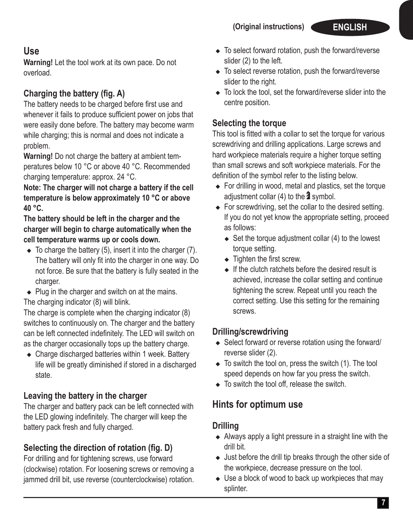# **Use**

**Warning!** Let the tool work at its own pace. Do not overload.

# **Charging the battery (fig. A)**

The battery needs to be charged before first use and whenever it fails to produce sufficient power on jobs that were easily done before. The battery may become warm while charging; this is normal and does not indicate a problem.

**Warning!** Do not charge the battery at ambient temperatures below 10 °C or above 40 °C. Recommended charging temperature: approx. 24 °C.

**Note: The charger will not charge a battery if the cell temperature is below approximately 10 °C or above 40 °C.**

**The battery should be left in the charger and the charger will begin to charge automatically when the cell temperature warms up or cools down.**

- $\bullet$  To charge the battery (5), insert it into the charger (7). The battery will only fit into the charger in one way. Do not force. Be sure that the battery is fully seated in the charger.
- $\bullet$  Plug in the charger and switch on at the mains. The charging indicator (8) will blink.

The charge is complete when the charging indicator (8) switches to continuously on. The charger and the battery can be left connected indefinitely. The LED will switch on as the charger occasionally tops up the battery charge.

 $\triangle$  Charge discharged batteries within 1 week. Battery life will be greatly diminished if stored in a discharged state.

# **Leaving the battery in the charger**

The charger and battery pack can be left connected with the LED glowing indefinitely. The charger will keep the battery pack fresh and fully charged.

# **Selecting the direction of rotation (fig. D)**

For drilling and for tightening screws, use forward (clockwise) rotation. For loosening screws or removing a jammed drill bit, use reverse (counterclockwise) rotation.

- $\bullet$  To select forward rotation, push the forward/reverse slider (2) to the left.
- $\bullet$  To select reverse rotation, push the forward/reverse slider to the right.
- $\bullet$  To lock the tool, set the forward/reverse slider into the centre position.

#### **Selecting the torque**

This tool is fitted with a collar to set the torque for various screwdriving and drilling applications. Large screws and hard workpiece materials require a higher torque setting than small screws and soft workpiece materials. For the definition of the symbol refer to the listing below.

- $\bullet$  For drilling in wood, metal and plastics, set the torque adiustment collar (4) to the **2** symbol.
- adjustment collar (4) to the **2** symbol.<br>For screwdriving, set the collar to the desired setting. If you do not yet know the appropriate setting, proceed as follows:
	- $\bullet$  Set the torque adjustment collar (4) to the lowest torque setting.
	- $\bullet$  Tighten the first screw.
	- $\bullet$  If the clutch ratchets before the desired result is achieved, increase the collar setting and continue tightening the screw. Repeat until you reach the correct setting. Use this setting for the remaining screws.

#### **Drilling/screwdriving**

- $\triangle$  Select forward or reverse rotation using the forward/ reverse slider (2).
- $\bullet$  To switch the tool on, press the switch (1). The tool speed depends on how far you press the switch.
- $\triangle$  To switch the tool off, release the switch.

# **Hints for optimum use**

#### **Drilling**

- $\triangle$  Always apply a light pressure in a straight line with the drill bit.
- $\bullet$  Just before the drill tip breaks through the other side of the workpiece, decrease pressure on the tool.
- $\bullet$  Use a block of wood to back up workpieces that may splinter.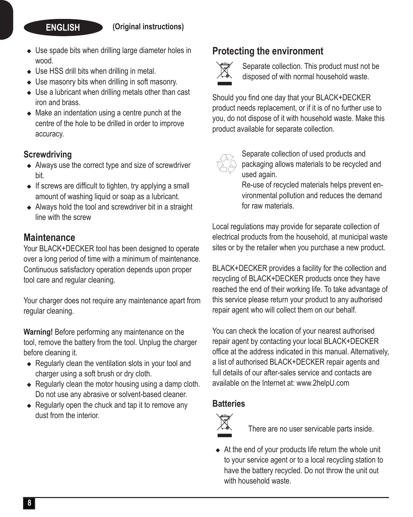- $\triangleleft$  Use spade bits when drilling large diameter holes in wood.
- $\bullet$  Use HSS drill bits when drilling in metal.
- $\triangleleft$  Use masonry bits when drilling in soft masonry.
- $\triangleleft$  Use a lubricant when drilling metals other than cast iron and brass.
- $\bullet$  Make an indentation using a centre punch at the centre of the hole to be drilled in order to improve accuracy.

# **Screwdriving**

- $\triangleleft$  Always use the correct type and size of screwdriver bit.
- $\bullet$  If screws are difficult to tighten, try applying a small amount of washing liquid or soap as a lubricant.
- $\triangle$  Always hold the tool and screwdriver bit in a straight line with the screw

### **Maintenance**

Your BLACK+DECKER tool has been designed to operate over a long period of time with a minimum of maintenance. Continuous satisfactory operation depends upon proper tool care and regular cleaning.

Your charger does not require any maintenance apart from regular cleaning.

**Warning!** Before performing any maintenance on the tool, remove the battery from the tool. Unplug the charger before cleaning it.

- $\triangle$  Regularly clean the ventilation slots in your tool and charger using a soft brush or dry cloth.
- $\triangle$  Regularly clean the motor housing using a damp cloth. Do not use any abrasive or solvent-based cleaner.
- $\triangle$  Regularly open the chuck and tap it to remove any dust from the interior.

# **Protecting the environment**



 $\sum_{n=1}^{\infty}$  Separate collection. This product must not be disposed of with normal household waste. disposed of with normal household waste.

Should you find one day that your BLACK+DECKER product needs replacement, or if it is of no further use to you, do not dispose of it with household waste. Make this product available for separate collection.



 $\oslash$  Separate collection of used products and<br> $\oslash$  packaging allows materials to be recycled<br>used again. packaging allows materials to be recycled and used again.

> Re-use of recycled materials helps prevent environmental pollution and reduces the demand for raw materials.

Local regulations may provide for separate collection of electrical products from the household, at municipal waste sites or by the retailer when you purchase a new product.

BLACK+DECKER provides a facility for the collection and recycling of BLACK+DECKER products once they have reached the end of their working life. To take advantage of this service please return your product to any authorised repair agent who will collect them on our behalf.

You can check the location of your nearest authorised repair agent by contacting your local BLACK+DECKER office at the address indicated in this manual. Alternatively, a list of authorised BLACK+DECKER repair agents and full details of our after-sales service and contacts are available on the Internet at: www.2helpU.com

#### **Batteries**



There are no user servicable parts inside.

 $\triangle$  At the end of your products life return the whole unit to your service agent or to a local recycling station to have the battery recycled. Do not throw the unit out with household waste.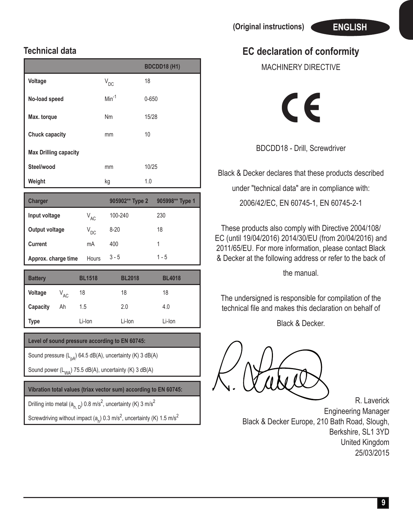# **Technical data**

|                              |                 | <b>BDCDD18 (H1)</b> |  |  |
|------------------------------|-----------------|---------------------|--|--|
| Voltage                      | $V_{\text{DC}}$ | 18                  |  |  |
| No-load speed                | $Min-1$         | $0 - 650$           |  |  |
| Max. torque                  | Nm              | 15/28               |  |  |
| Chuck capacity               | mm              | 10                  |  |  |
| <b>Max Drilling capacity</b> |                 |                     |  |  |
| Steel/wood                   | mm              | 10/25               |  |  |
| Weight                       | kg              | 1.0                 |  |  |

| <b>Charger</b>      |          | 905902** Type 2 | 905998** Type 1 |
|---------------------|----------|-----------------|-----------------|
| Input voltage       | $V_{AC}$ | 100-240         | 230             |
| Output voltage      | $V_{DC}$ | $8 - 20$        | 18              |
| Current             | mA       | 400             |                 |
| Approx. charge time | Hours    | $3 - 5$         | 1 - 5           |

| <b>Battery</b> |          | <b>BL1518</b> | <b>BL2018</b> | <b>BL4018</b> |
|----------------|----------|---------------|---------------|---------------|
| Voltage        | $V_{AC}$ | 18            | 18            | 18            |
| Capacity       | Ah       | 1.5           | 2.0           | 4.0           |
| Type           |          | Li-Ion        | Li-Ion        | Li-Ion        |

#### **Level of sound pressure according to EN 60745:**

Sound pressure  $(L_{nA})$  64.5 dB(A), uncertainty (K) 3 dB(A)

Sound power  $(L_{MA})$  75.5 dB(A), uncertainty (K) 3 dB(A)

#### **Vibration total values (triax vector sum) according to EN 60745:**

Drilling into metal  $(a_{h, D})$  0.8 m/s<sup>2</sup>, uncertainty (K) 3 m/s<sup>2</sup>

Screwdriving without impact  $(a<sub>h</sub>)$  0.3 m/s<sup>2</sup>, uncertainty (K) 1.5 m/s<sup>2</sup>

# **EC declaration of conformity**

MACHINERY DIRECTIVE

# $\epsilon$

BDCDD18 - Drill, Screwdriver

Black & Decker declares that these products described

under "technical data" are in compliance with:

2006/42/EC, EN 60745-1, EN 60745-2-1

These products also comply with Directive 2004/108/ EC (until 19/04/2016) 2014/30/EU (from 20/04/2016) and 2011/65/EU. For more information, please contact Black & Decker at the following address or refer to the back of

the manual.

The undersigned is responsible for compilation of the technical file and makes this declaration on behalf of

Black & Decker.



R. Laverick Engineering Manager Black & Decker Europe, 210 Bath Road, Slough, Berkshire, SL1 3YD United Kingdom 25/03/2015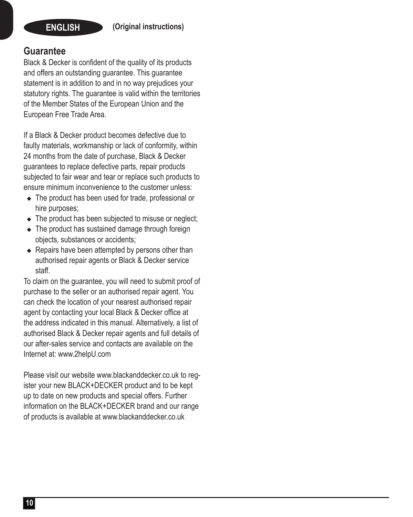#### **Guarantee**

Black & Decker is confident of the quality of its products and offers an outstanding guarantee. This guarantee statement is in addition to and in no way prejudices your statutory rights. The quarantee is valid within the territories of the Member States of the European Union and the European Free Trade Area.

If a Black & Decker product becomes defective due to faulty materials, workmanship or lack of conformity, within 24 months from the date of purchase, Black & Decker guarantees to replace defective parts, repair products subjected to fair wear and tear or replace such products to ensure minimum inconvenience to the customer unless:

- $\bullet$  The product has been used for trade, professional or hire purposes;
- $\bullet$  The product has been subjected to misuse or neglect:
- $\bullet$  The product has sustained damage through foreign objects, substances or accidents;
- $\triangle$  Repairs have been attempted by persons other than authorised repair agents or Black & Decker service staff.

To claim on the guarantee, you will need to submit proof of purchase to the seller or an authorised repair agent. You can check the location of your nearest authorised repair agent by contacting your local Black & Decker office at the address indicated in this manual. Alternatively, a list of authorised Black & Decker repair agents and full details of our after-sales service and contacts are available on the Internet at: www.2helpU.com

Please visit our website www.blackanddecker.co.uk to register your new BLACK+DECKER product and to be kept up to date on new products and special offers. Further information on the BLACK+DECKER brand and our range of products is available at www.blackanddecker.co.uk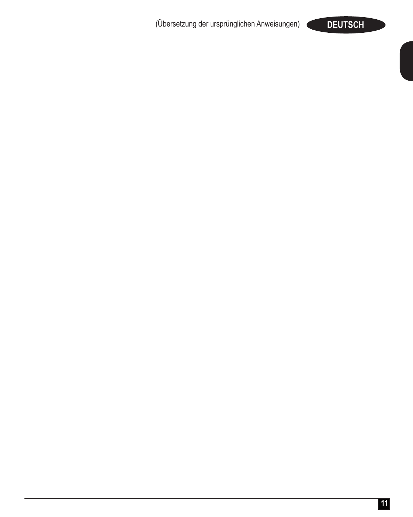(Übersetzung der ursprünglichen Anweisungen) **DEUTSCH**